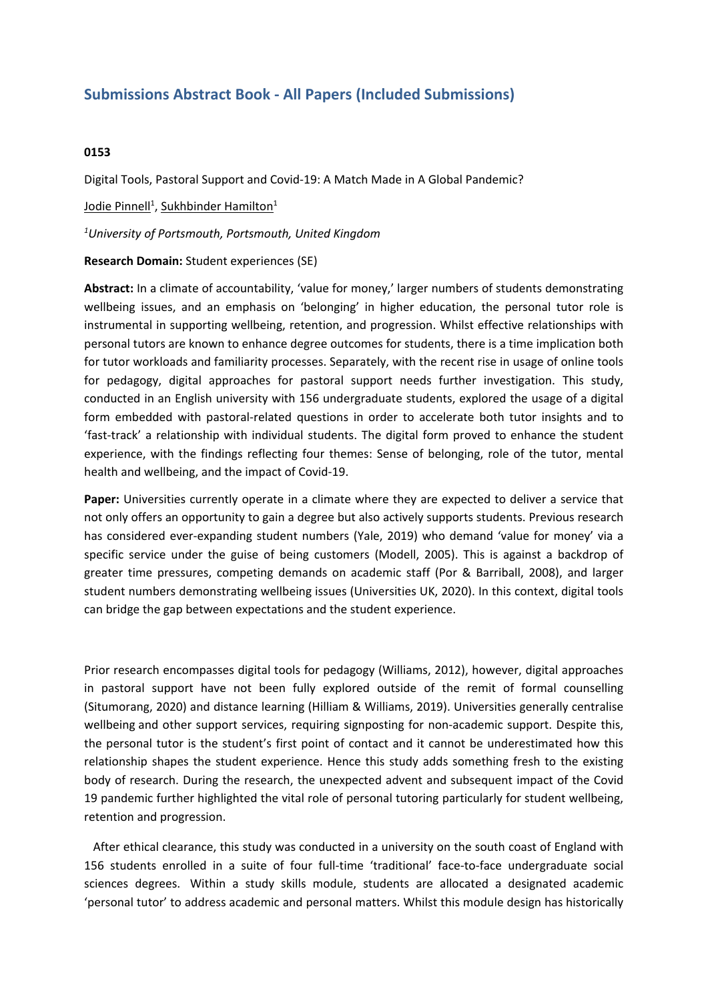# **Submissions Abstract Book - All Papers (Included Submissions)**

## **0153**

Digital Tools, Pastoral Support and Covid-19: A Match Made in A Global Pandemic?

<u>Jodie Pinnell<sup>1</sup>, Sukhbinder Hamilton<sup>1</sup></u>

*1 University of Portsmouth, Portsmouth, United Kingdom*

### **Research Domain:** Student experiences (SE)

**Abstract:** In <sup>a</sup> climate of accountability, 'value for money,' larger numbers of students demonstrating wellbeing issues, and an emphasis on 'belonging' in higher education, the personal tutor role is instrumental in supporting wellbeing, retention, and progression. Whilst effective relationships with personal tutors are known to enhance degree outcomes for students, there is <sup>a</sup> time implication both for tutor workloads and familiarity processes. Separately, with the recent rise in usage of online tools for pedagogy, digital approaches for pastoral support needs further investigation. This study, conducted in an English university with 156 undergraduate students, explored the usage of <sup>a</sup> digital form embedded with pastoral-related questions in order to accelerate both tutor insights and to 'fast‐track' <sup>a</sup> relationship with individual students. The digital form proved to enhance the student experience, with the findings reflecting four themes: Sense of belonging, role of the tutor, mental health and wellbeing, and the impact of Covid-19.

**Paper:** Universities currently operate in <sup>a</sup> climate where they are expected to deliver <sup>a</sup> service that not only offers an opportunity to gain <sup>a</sup> degree but also actively supports students. Previous research has considered ever-expanding student numbers (Yale, 2019) who demand 'value for money' via <sup>a</sup> specific service under the guise of being customers (Modell, 2005). This is against <sup>a</sup> backdrop of greater time pressures, competing demands on academic staff (Por & Barriball, 2008), and larger student numbers demonstrating wellbeing issues (Universities UK, 2020). In this context, digital tools can bridge the gap between expectations and the student experience.

Prior research encompasses digital tools for pedagogy (Williams, 2012), however, digital approaches in pastoral support have not been fully explored outside of the remit of formal counselling (Situmorang, 2020) and distance learning (Hilliam & Williams, 2019). Universities generally centralise wellbeing and other support services, requiring signposting for non-academic support. Despite this, the personal tutor is the student's first point of contact and it cannot be underestimated how this relationship shapes the student experience. Hence this study adds something fresh to the existing body of research. During the research, the unexpected advent and subsequent impact of the Covid 19 pandemic further highlighted the vital role of personal tutoring particularly for student wellbeing, retention and progression.

 After ethical clearance, this study was conducted in <sup>a</sup> university on the south coast of England with 156 students enrolled in <sup>a</sup> suite of four full-time 'traditional' face-to-face undergraduate social sciences degrees. Within <sup>a</sup> study skills module, students are allocated <sup>a</sup> designated academic 'personal tutor' to address academic and personal matters. Whilst this module design has historically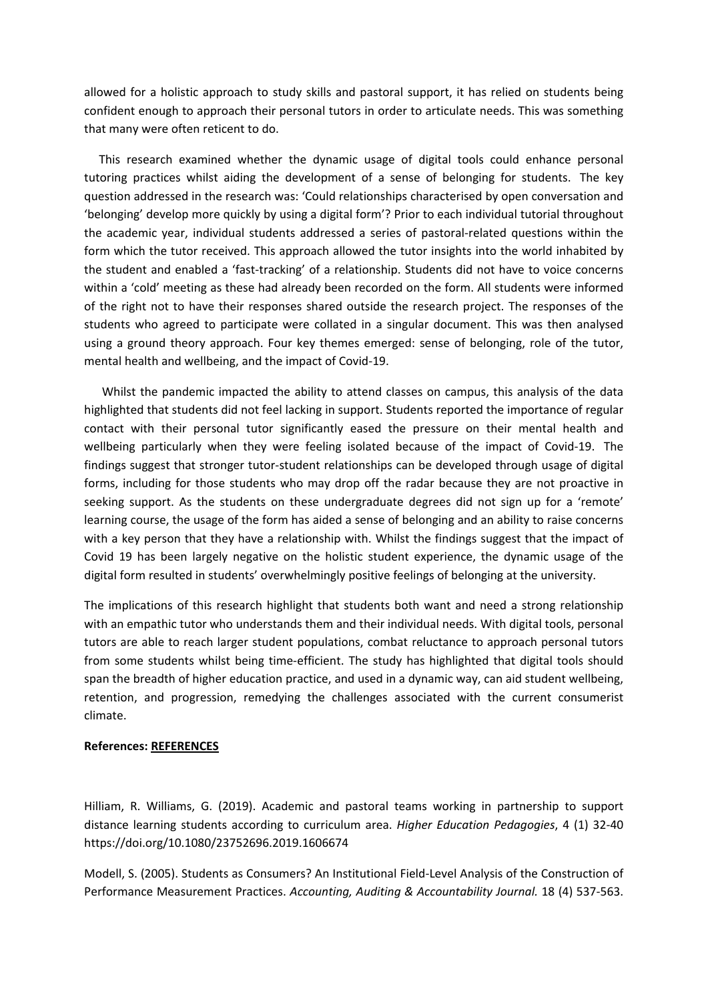allowed for <sup>a</sup> holistic approach to study skills and pastoral support, it has relied on students being confident enough to approach their personal tutors in order to articulate needs. This was something that many were often reticent to do.

 This research examined whether the dynamic usage of digital tools could enhance personal tutoring practices whilst aiding the development of <sup>a</sup> sense of belonging for students. The key question addressed in the research was: 'Could relationships characterised by open conversation and 'belonging' develop more quickly by using <sup>a</sup> digital form'? Prior to each individual tutorial throughout the academic year, individual students addressed <sup>a</sup> series of pastoral-related questions within the form which the tutor received. This approach allowed the tutor insights into the world inhabited by the student and enabled a 'fast-tracking' of a relationship. Students did not have to voice concerns within <sup>a</sup> 'cold' meeting as these had already been recorded on the form. All students were informed of the right not to have their responses shared outside the research project. The responses of the students who agreed to participate were collated in <sup>a</sup> singular document. This was then analysed using <sup>a</sup> ground theory approach. Four key themes emerged: sense of belonging, role of the tutor, mental health and wellbeing, and the impact of Covid-19.

 Whilst the pandemic impacted the ability to attend classes on campus, this analysis of the data highlighted that students did not feel lacking in support. Students reported the importance of regular contact with their personal tutor significantly eased the pressure on their mental health and wellbeing particularly when they were feeling isolated because of the impact of Covid-19. The findings suggest that stronger tutor-student relationships can be developed through usage of digital forms, including for those students who may drop off the radar because they are not proactive in seeking support. As the students on these undergraduate degrees did not sign up for <sup>a</sup> 'remote' learning course, the usage of the form has aided <sup>a</sup> sense of belonging and an ability to raise concerns with <sup>a</sup> key person that they have <sup>a</sup> relationship with. Whilst the findings suggest that the impact of Covid 19 has been largely negative on the holistic student experience, the dynamic usage of the digital form resulted in students' overwhelmingly positive feelings of belonging at the university.

The implications of this research highlight that students both want and need <sup>a</sup> strong relationship with an empathic tutor who understands them and their individual needs. With digital tools, personal tutors are able to reach larger student populations, combat reluctance to approach personal tutors from some students whilst being time-efficient. The study has highlighted that digital tools should span the breadth of higher education practice, and used in <sup>a</sup> dynamic way, can aid student wellbeing, retention, and progression, remedying the challenges associated with the current consumerist climate.

#### **References: REFERENCES**

Hilliam, R. Williams, G. (2019). Academic and pastoral teams working in partnership to support distance learning students according to curriculum area. *Higher Education Pedagogies*, 4 (1) 32-40 https://doi.org/10.1080/23752696.2019.1606674

Modell, S. (2005). Students as Consumers? An Institutional Field‐Level Analysis of the Construction of Performance Measurement Practices. *Accounting, Auditing & Accountability Journal.* 18 (4) 537-563.